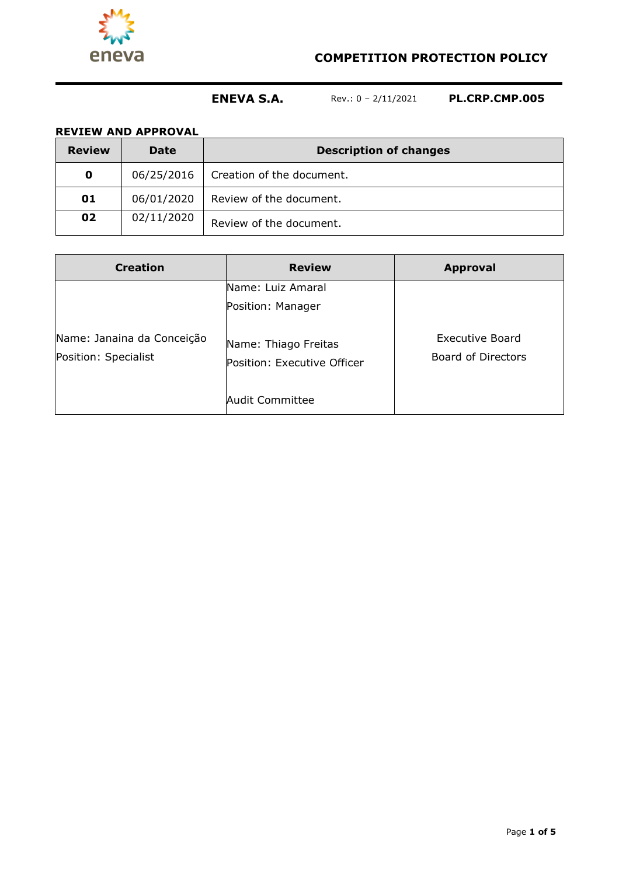

## **COMPETITION PROTECTION POLICY**

# **ENEVA S.A.** Rev.: 0 – 2/11/2021 **PL.CRP.CMP.005**

## **REVIEW AND APPROVAL**

| <b>Review</b> | <b>Date</b> | <b>Description of changes</b> |
|---------------|-------------|-------------------------------|
| $\mathbf 0$   | 06/25/2016  | Creation of the document.     |
| 01            | 06/01/2020  | Review of the document.       |
| 02            | 02/11/2020  | Review of the document.       |

| <b>Creation</b>                                    | <b>Review</b>                                       | <b>Approval</b>                       |
|----------------------------------------------------|-----------------------------------------------------|---------------------------------------|
|                                                    | Name: Luiz Amaral<br>Position: Manager              |                                       |
| Name: Janaina da Conceição<br>Position: Specialist | Name: Thiago Freitas<br>Position: Executive Officer | Executive Board<br>Board of Directors |
|                                                    | <b>Audit Committee</b>                              |                                       |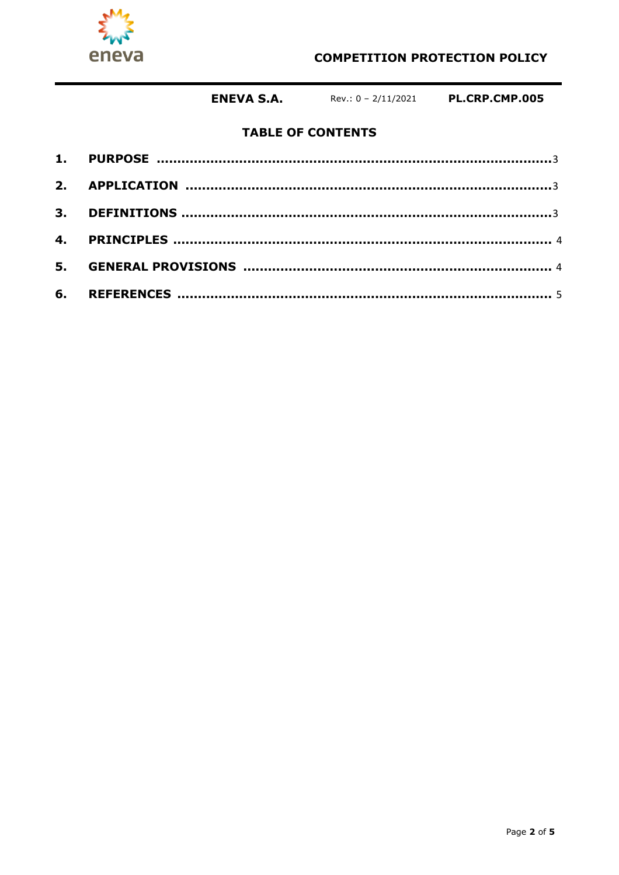

## **COMPETITION PROTECTION POLICY**

**ENEVA S.A.** Rev.: 0 - 2/11/2021 PL.CRP.CMP.005

## **TABLE OF CONTENTS**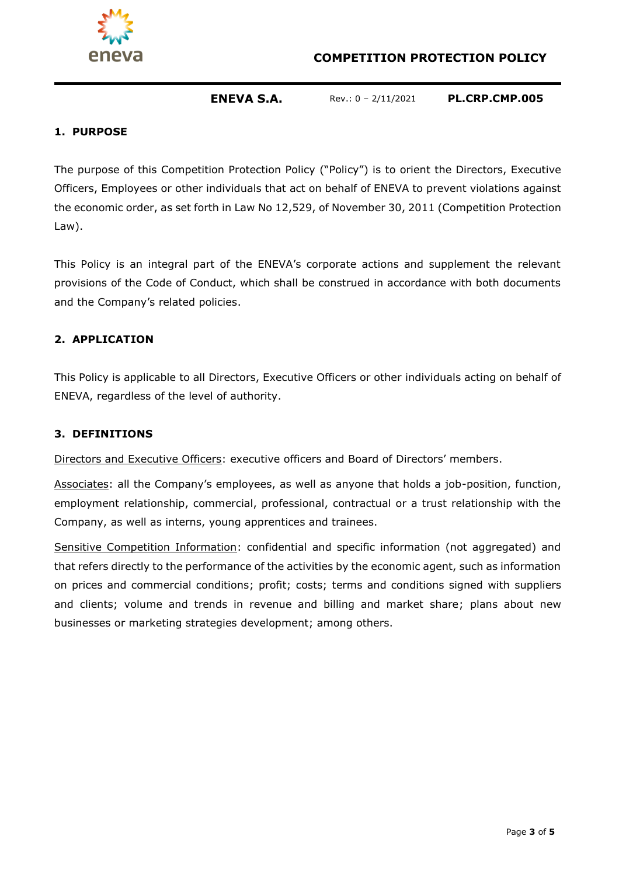

## **COMPETITION PROTECTION POLICY**

## **ENEVA S.A.** Rev.: 0 – 2/11/2021 **PL.CRP.CMP.005**

#### **1. PURPOSE**

The purpose of this Competition Protection Policy ("Policy") is to orient the Directors, Executive Officers, Employees or other individuals that act on behalf of ENEVA to prevent violations against the economic order, as set forth in Law No 12,529, of November 30, 2011 (Competition Protection Law).

This Policy is an integral part of the ENEVA's corporate actions and supplement the relevant provisions of the Code of Conduct, which shall be construed in accordance with both documents and the Company's related policies.

#### **2. APPLICATION**

This Policy is applicable to all Directors, Executive Officers or other individuals acting on behalf of ENEVA, regardless of the level of authority.

#### **3. DEFINITIONS**

Directors and Executive Officers: executive officers and Board of Directors' members.

Associates: all the Company's employees, as well as anyone that holds a job-position, function, employment relationship, commercial, professional, contractual or a trust relationship with the Company, as well as interns, young apprentices and trainees.

Sensitive Competition Information: confidential and specific information (not aggregated) and that refers directly to the performance of the activities by the economic agent, such as information on prices and commercial conditions; profit; costs; terms and conditions signed with suppliers and clients; volume and trends in revenue and billing and market share; plans about new businesses or marketing strategies development; among others.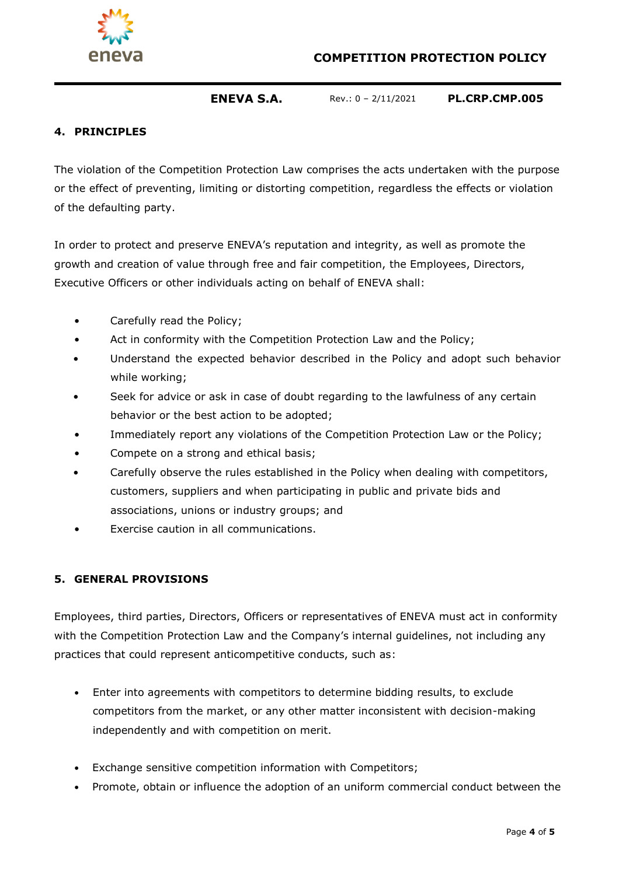



## **ENEVA S.A.** Rev.: 0 – 2/11/2021 **PL.CRP.CMP.005**

## **4. PRINCIPLES**

The violation of the Competition Protection Law comprises the acts undertaken with the purpose or the effect of preventing, limiting or distorting competition, regardless the effects or violation of the defaulting party.

In order to protect and preserve ENEVA's reputation and integrity, as well as promote the growth and creation of value through free and fair competition, the Employees, Directors, Executive Officers or other individuals acting on behalf of ENEVA shall:

- Carefully read the Policy;
- Act in conformity with the Competition Protection Law and the Policy;
- Understand the expected behavior described in the Policy and adopt such behavior while working;
- Seek for advice or ask in case of doubt regarding to the lawfulness of any certain behavior or the best action to be adopted;
- Immediately report any violations of the Competition Protection Law or the Policy;
- Compete on a strong and ethical basis;
- Carefully observe the rules established in the Policy when dealing with competitors, customers, suppliers and when participating in public and private bids and associations, unions or industry groups; and
- Exercise caution in all communications.

### <span id="page-3-0"></span>**5. GENERAL PROVISIONS**

Employees, third parties, Directors, Officers or representatives of ENEVA must act in conformity with the Competition Protection Law and the Company's internal guidelines, not including any practices that could represent anticompetitive conducts, such as:

- Enter into agreements with competitors to determine bidding results, to exclude competitors from the market, or any other matter inconsistent with decision-making independently and with competition on merit.
- Exchange sensitive competition information with Competitors;
- Promote, obtain or influence the adoption of an uniform commercial conduct between the